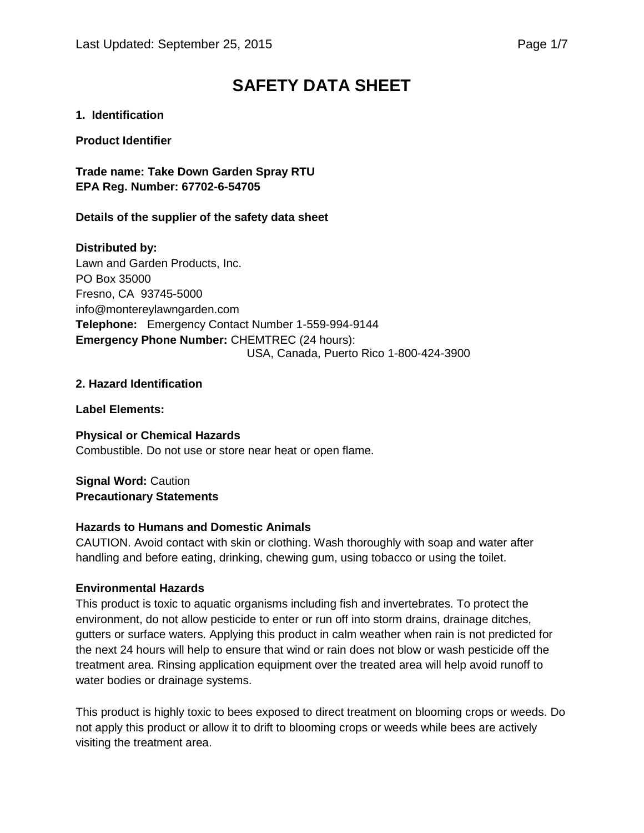# **SAFETY DATA SHEET**

## **1. Identification**

#### **Product Identifier**

**Trade name: Take Down Garden Spray RTU EPA Reg. Number: 67702-6-54705**

#### **Details of the supplier of the safety data sheet**

# **Distributed by:**

Lawn and Garden Products, Inc. PO Box 35000 Fresno, CA 93745-5000 info@montereylawngarden.com **Telephone:** Emergency Contact Number 1-559-994-9144 **Emergency Phone Number:** CHEMTREC (24 hours): USA, Canada, Puerto Rico 1-800-424-3900

#### **2. Hazard Identification**

**Label Elements:**

**Physical or Chemical Hazards** Combustible. Do not use or store near heat or open flame.

**Signal Word:** Caution **Precautionary Statements**

# **Hazards to Humans and Domestic Animals**

CAUTION. Avoid contact with skin or clothing. Wash thoroughly with soap and water after handling and before eating, drinking, chewing gum, using tobacco or using the toilet.

# **Environmental Hazards**

This product is toxic to aquatic organisms including fish and invertebrates. To protect the environment, do not allow pesticide to enter or run off into storm drains, drainage ditches, gutters or surface waters. Applying this product in calm weather when rain is not predicted for the next 24 hours will help to ensure that wind or rain does not blow or wash pesticide off the treatment area. Rinsing application equipment over the treated area will help avoid runoff to water bodies or drainage systems.

This product is highly toxic to bees exposed to direct treatment on blooming crops or weeds. Do not apply this product or allow it to drift to blooming crops or weeds while bees are actively visiting the treatment area.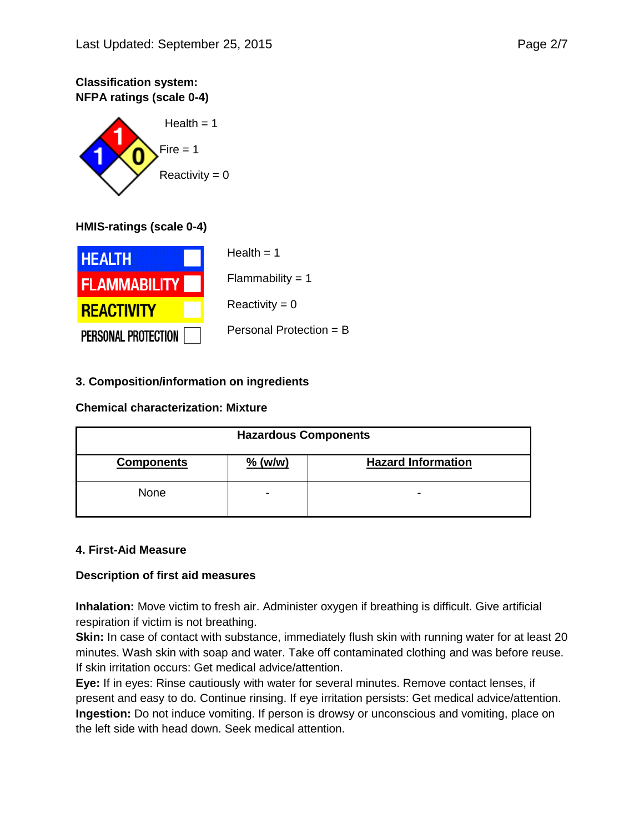# **Classification system: NFPA ratings (scale 0-4)**



# **HMIS-ratings (scale 0-4)**



# **3. Composition/information on ingredients**

#### **Chemical characterization: Mixture**

| <b>Hazardous Components</b> |           |                           |
|-----------------------------|-----------|---------------------------|
| <b>Components</b>           | $%$ (w/w) | <b>Hazard Information</b> |
| None                        | -         | $\overline{\phantom{0}}$  |

#### **4. First-Aid Measure**

# **Description of first aid measures**

**Inhalation:** Move victim to fresh air. Administer oxygen if breathing is difficult. Give artificial respiration if victim is not breathing.

**Skin:** In case of contact with substance, immediately flush skin with running water for at least 20 minutes. Wash skin with soap and water. Take off contaminated clothing and was before reuse. If skin irritation occurs: Get medical advice/attention.

**Eye:** If in eyes: Rinse cautiously with water for several minutes. Remove contact lenses, if present and easy to do. Continue rinsing. If eye irritation persists: Get medical advice/attention. **Ingestion:** Do not induce vomiting. If person is drowsy or unconscious and vomiting, place on the left side with head down. Seek medical attention.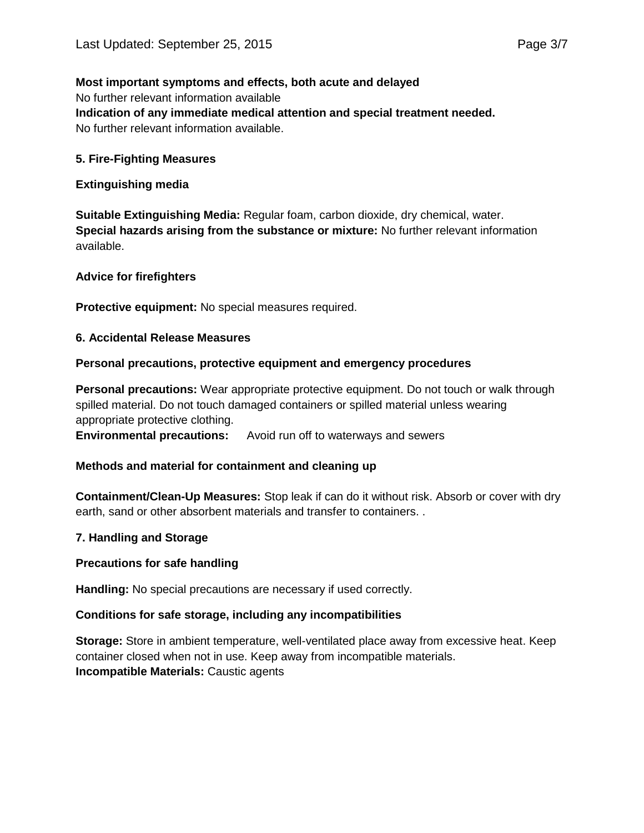#### **Most important symptoms and effects, both acute and delayed**

No further relevant information available **Indication of any immediate medical attention and special treatment needed.** No further relevant information available.

#### **5. Fire-Fighting Measures**

#### **Extinguishing media**

**Suitable Extinguishing Media:** Regular foam, carbon dioxide, dry chemical, water. **Special hazards arising from the substance or mixture:** No further relevant information available.

#### **Advice for firefighters**

**Protective equipment:** No special measures required.

#### **6. Accidental Release Measures**

#### **Personal precautions, protective equipment and emergency procedures**

**Personal precautions:** Wear appropriate protective equipment. Do not touch or walk through spilled material. Do not touch damaged containers or spilled material unless wearing appropriate protective clothing. **Environmental precautions:** Avoid run off to waterways and sewers

#### **Methods and material for containment and cleaning up**

**Containment/Clean-Up Measures:** Stop leak if can do it without risk. Absorb or cover with dry earth, sand or other absorbent materials and transfer to containers. .

#### **7. Handling and Storage**

#### **Precautions for safe handling**

**Handling:** No special precautions are necessary if used correctly.

#### **Conditions for safe storage, including any incompatibilities**

**Storage:** Store in ambient temperature, well-ventilated place away from excessive heat. Keep container closed when not in use. Keep away from incompatible materials. **Incompatible Materials:** Caustic agents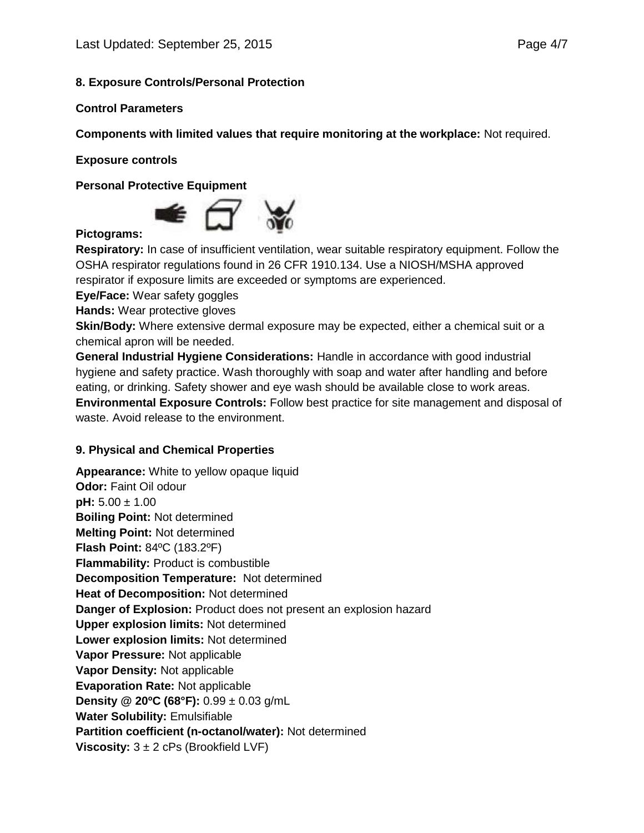#### **8. Exposure Controls/Personal Protection**

#### **Control Parameters**

**Components with limited values that require monitoring at the workplace:** Not required.

**Exposure controls**

**Personal Protective Equipment**



#### **Pictograms:**

**Respiratory:** In case of insufficient ventilation, wear suitable respiratory equipment. Follow the OSHA respirator regulations found in 26 CFR 1910.134. Use a NIOSH/MSHA approved respirator if exposure limits are exceeded or symptoms are experienced.

**Eye/Face:** Wear safety goggles

**Hands:** Wear protective gloves

**Skin/Body:** Where extensive dermal exposure may be expected, either a chemical suit or a chemical apron will be needed.

**General Industrial Hygiene Considerations:** Handle in accordance with good industrial hygiene and safety practice. Wash thoroughly with soap and water after handling and before eating, or drinking. Safety shower and eye wash should be available close to work areas. **Environmental Exposure Controls:** Follow best practice for site management and disposal of waste. Avoid release to the environment.

#### **9. Physical and Chemical Properties**

**Appearance:** White to yellow opaque liquid **Odor: Faint Oil odour pH:** 5.00 ± 1.00 **Boiling Point:** Not determined **Melting Point:** Not determined **Flash Point:** 84ºC (183.2ºF) **Flammability: Product is combustible Decomposition Temperature:** Not determined **Heat of Decomposition:** Not determined **Danger of Explosion:** Product does not present an explosion hazard **Upper explosion limits:** Not determined **Lower explosion limits:** Not determined **Vapor Pressure:** Not applicable **Vapor Density:** Not applicable **Evaporation Rate:** Not applicable **Density @ 20ºC (68°F):** 0.99 ± 0.03 g/mL **Water Solubility:** Emulsifiable **Partition coefficient (n-octanol/water):** Not determined **Viscosity:** 3 ± 2 cPs (Brookfield LVF)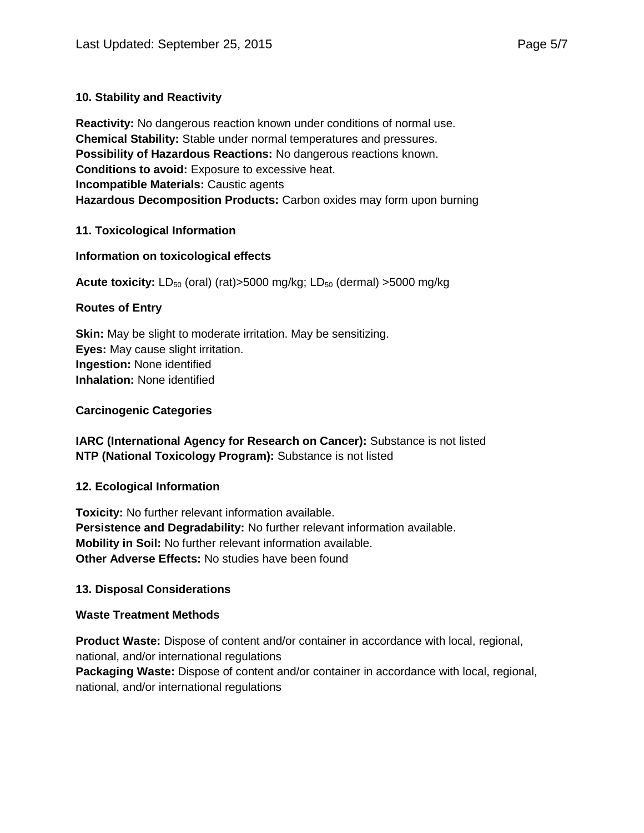# **10. Stability and Reactivity**

**Reactivity:** No dangerous reaction known under conditions of normal use. **Chemical Stability:** Stable under normal temperatures and pressures. **Possibility of Hazardous Reactions:** No dangerous reactions known. **Conditions to avoid:** Exposure to excessive heat. **Incompatible Materials:** Caustic agents **Hazardous Decomposition Products:** Carbon oxides may form upon burning

#### **11. Toxicological Information**

#### **Information on toxicological effects**

**Acute toxicity:** LD<sub>50</sub> (oral) (rat)>5000 mg/kg; LD<sub>50</sub> (dermal) >5000 mg/kg

#### **Routes of Entry**

**Skin:** May be slight to moderate irritation. May be sensitizing. **Eyes:** May cause slight irritation. **Ingestion:** None identified **Inhalation:** None identified

#### **Carcinogenic Categories**

**IARC (International Agency for Research on Cancer):** Substance is not listed **NTP (National Toxicology Program):** Substance is not listed

#### **12. Ecological Information**

**Toxicity:** No further relevant information available. **Persistence and Degradability:** No further relevant information available. **Mobility in Soil:** No further relevant information available. **Other Adverse Effects:** No studies have been found

#### **13. Disposal Considerations**

#### **Waste Treatment Methods**

**Product Waste:** Dispose of content and/or container in accordance with local, regional, national, and/or international regulations **Packaging Waste:** Dispose of content and/or container in accordance with local, regional, national, and/or international regulations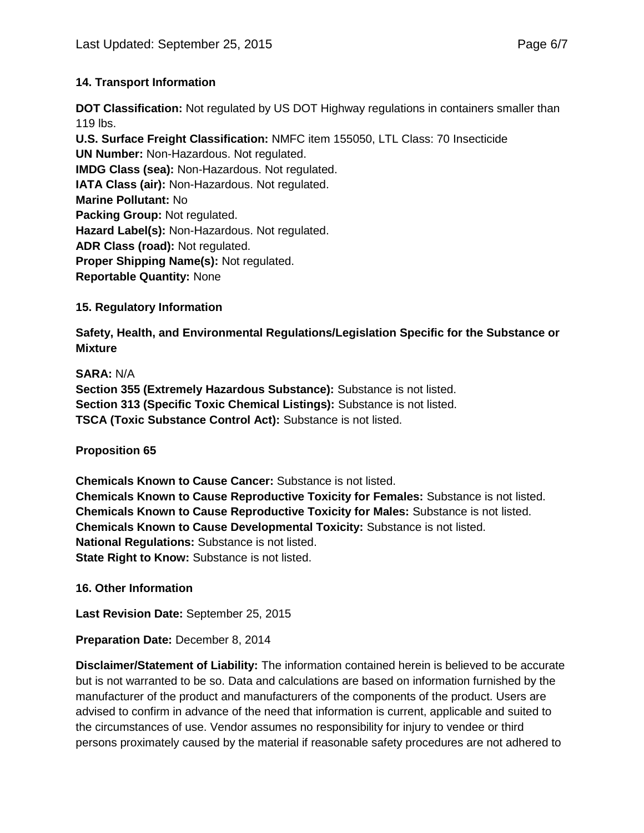# **14. Transport Information**

**DOT Classification:** Not regulated by US DOT Highway regulations in containers smaller than 119 lbs.

**U.S. Surface Freight Classification:** NMFC item 155050, LTL Class: 70 Insecticide **UN Number:** Non-Hazardous. Not regulated. **IMDG Class (sea):** Non-Hazardous. Not regulated. **IATA Class (air):** Non-Hazardous. Not regulated. **Marine Pollutant:** No **Packing Group:** Not regulated. **Hazard Label(s):** Non-Hazardous. Not regulated. **ADR Class (road):** Not regulated. **Proper Shipping Name(s):** Not regulated. **Reportable Quantity:** None

**15. Regulatory Information**

**Safety, Health, and Environmental Regulations/Legislation Specific for the Substance or Mixture**

**SARA:** N/A **Section 355 (Extremely Hazardous Substance):** Substance is not listed. **Section 313 (Specific Toxic Chemical Listings):** Substance is not listed. **TSCA (Toxic Substance Control Act):** Substance is not listed.

**Proposition 65**

**Chemicals Known to Cause Cancer:** Substance is not listed. **Chemicals Known to Cause Reproductive Toxicity for Females:** Substance is not listed. **Chemicals Known to Cause Reproductive Toxicity for Males:** Substance is not listed. **Chemicals Known to Cause Developmental Toxicity:** Substance is not listed. **National Regulations:** Substance is not listed. **State Right to Know: Substance is not listed.** 

**16. Other Information**

**Last Revision Date:** September 25, 2015

**Preparation Date:** December 8, 2014

**Disclaimer/Statement of Liability:** The information contained herein is believed to be accurate but is not warranted to be so. Data and calculations are based on information furnished by the manufacturer of the product and manufacturers of the components of the product. Users are advised to confirm in advance of the need that information is current, applicable and suited to the circumstances of use. Vendor assumes no responsibility for injury to vendee or third persons proximately caused by the material if reasonable safety procedures are not adhered to